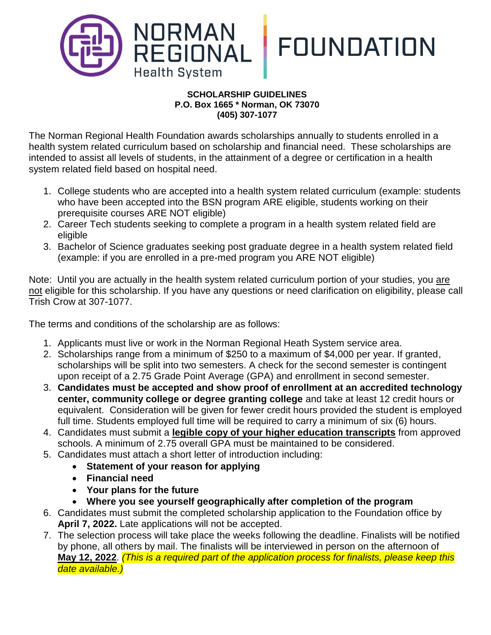

## **SCHOLARSHIP GUIDELINES P.O. Box 1665 \* Norman, OK 73070 (405) 307-1077**

The Norman Regional Health Foundation awards scholarships annually to students enrolled in a health system related curriculum based on scholarship and financial need. These scholarships are intended to assist all levels of students, in the attainment of a degree or certification in a health system related field based on hospital need.

- 1. College students who are accepted into a health system related curriculum (example: students who have been accepted into the BSN program ARE eligible, students working on their prerequisite courses ARE NOT eligible)
- 2. Career Tech students seeking to complete a program in a health system related field are eligible
- 3. Bachelor of Science graduates seeking post graduate degree in a health system related field (example: if you are enrolled in a pre-med program you ARE NOT eligible)

Note: Until you are actually in the health system related curriculum portion of your studies, you are not eligible for this scholarship. If you have any questions or need clarification on eligibility, please call Trish Crow at 307-1077.

The terms and conditions of the scholarship are as follows:

- 1. Applicants must live or work in the Norman Regional Heath System service area.
- 2. Scholarships range from a minimum of \$250 to a maximum of \$4,000 per year. If granted, scholarships will be split into two semesters. A check for the second semester is contingent upon receipt of a 2.75 Grade Point Average (GPA) and enrollment in second semester.
- 3. **Candidates must be accepted and show proof of enrollment at an accredited technology center, community college or degree granting college** and take at least 12 credit hours or equivalent. Consideration will be given for fewer credit hours provided the student is employed full time. Students employed full time will be required to carry a minimum of six (6) hours.
- 4. Candidates must submit a **legible copy of your higher education transcripts** from approved schools. A minimum of 2.75 overall GPA must be maintained to be considered.
- 5. Candidates must attach a short letter of introduction including:
	- **Statement of your reason for applying**
	- **Financial need**
	- **Your plans for the future**
	- **Where you see yourself geographically after completion of the program**
- 6. Candidates must submit the completed scholarship application to the Foundation office by **April 7, 2022.** Late applications will not be accepted.
- 7. The selection process will take place the weeks following the deadline. Finalists will be notified by phone, all others by mail. The finalists will be interviewed in person on the afternoon of **May 12, 2022**. *(This is a required part of the application process for finalists, please keep this date available.)*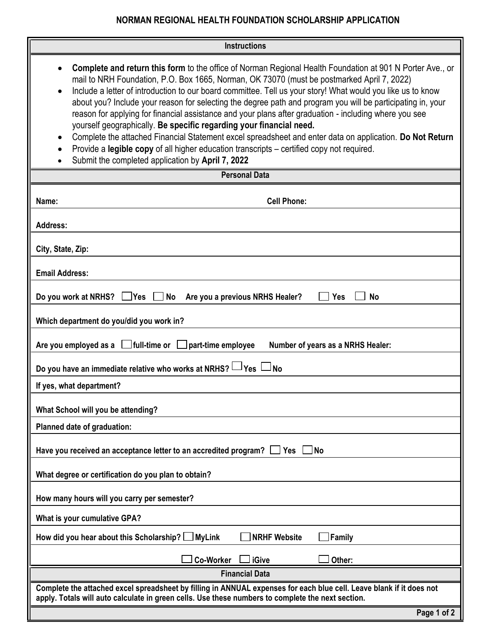## **NORMAN REGIONAL HEALTH FOUNDATION SCHOLARSHIP APPLICATION**

| <b>Instructions</b>                                                                                                                                                                                                                                                                                                                                                                                                                                                                                                                                                                                                                                                                                                                                                                                                                                                                                                                |  |  |
|------------------------------------------------------------------------------------------------------------------------------------------------------------------------------------------------------------------------------------------------------------------------------------------------------------------------------------------------------------------------------------------------------------------------------------------------------------------------------------------------------------------------------------------------------------------------------------------------------------------------------------------------------------------------------------------------------------------------------------------------------------------------------------------------------------------------------------------------------------------------------------------------------------------------------------|--|--|
| <b>Complete and return this form</b> to the office of Norman Regional Health Foundation at 901 N Porter Ave., or<br>$\bullet$<br>mail to NRH Foundation, P.O. Box 1665, Norman, OK 73070 (must be postmarked April 7, 2022)<br>Include a letter of introduction to our board committee. Tell us your story! What would you like us to know<br>$\bullet$<br>about you? Include your reason for selecting the degree path and program you will be participating in, your<br>reason for applying for financial assistance and your plans after graduation - including where you see<br>yourself geographically. Be specific regarding your financial need.<br>Complete the attached Financial Statement excel spreadsheet and enter data on application. Do Not Return<br>$\bullet$<br>Provide a legible copy of all higher education transcripts – certified copy not required.<br>Submit the completed application by April 7, 2022 |  |  |
| <b>Personal Data</b>                                                                                                                                                                                                                                                                                                                                                                                                                                                                                                                                                                                                                                                                                                                                                                                                                                                                                                               |  |  |
| <b>Cell Phone:</b><br>Name:                                                                                                                                                                                                                                                                                                                                                                                                                                                                                                                                                                                                                                                                                                                                                                                                                                                                                                        |  |  |
| <b>Address:</b>                                                                                                                                                                                                                                                                                                                                                                                                                                                                                                                                                                                                                                                                                                                                                                                                                                                                                                                    |  |  |
| City, State, Zip:                                                                                                                                                                                                                                                                                                                                                                                                                                                                                                                                                                                                                                                                                                                                                                                                                                                                                                                  |  |  |
| <b>Email Address:</b>                                                                                                                                                                                                                                                                                                                                                                                                                                                                                                                                                                                                                                                                                                                                                                                                                                                                                                              |  |  |
| <b>No</b><br>Do you work at NRHS?<br>」Yes<br><b>No</b><br>Are you a previous NRHS Healer?<br><b>Yes</b>                                                                                                                                                                                                                                                                                                                                                                                                                                                                                                                                                                                                                                                                                                                                                                                                                            |  |  |
| Which department do you/did you work in?                                                                                                                                                                                                                                                                                                                                                                                                                                                                                                                                                                                                                                                                                                                                                                                                                                                                                           |  |  |
| $\vert$ full-time or $\vert$<br>Are you employed as a<br>part-time employee<br>Number of years as a NRHS Healer:                                                                                                                                                                                                                                                                                                                                                                                                                                                                                                                                                                                                                                                                                                                                                                                                                   |  |  |
| Do you have an immediate relative who works at NRHS? L<br><sup>l</sup> Yes⊹<br><b>No</b>                                                                                                                                                                                                                                                                                                                                                                                                                                                                                                                                                                                                                                                                                                                                                                                                                                           |  |  |
| If yes, what department?                                                                                                                                                                                                                                                                                                                                                                                                                                                                                                                                                                                                                                                                                                                                                                                                                                                                                                           |  |  |
| What School will you be attending?                                                                                                                                                                                                                                                                                                                                                                                                                                                                                                                                                                                                                                                                                                                                                                                                                                                                                                 |  |  |
| Planned date of graduation:                                                                                                                                                                                                                                                                                                                                                                                                                                                                                                                                                                                                                                                                                                                                                                                                                                                                                                        |  |  |
| Have you received an acceptance letter to an accredited program?<br>Yes<br>l No                                                                                                                                                                                                                                                                                                                                                                                                                                                                                                                                                                                                                                                                                                                                                                                                                                                    |  |  |
| What degree or certification do you plan to obtain?                                                                                                                                                                                                                                                                                                                                                                                                                                                                                                                                                                                                                                                                                                                                                                                                                                                                                |  |  |
| How many hours will you carry per semester?                                                                                                                                                                                                                                                                                                                                                                                                                                                                                                                                                                                                                                                                                                                                                                                                                                                                                        |  |  |
| What is your cumulative GPA?                                                                                                                                                                                                                                                                                                                                                                                                                                                                                                                                                                                                                                                                                                                                                                                                                                                                                                       |  |  |
| How did you hear about this Scholarship? $\Box$ MyLink<br><b>NRHF Website</b><br>Family                                                                                                                                                                                                                                                                                                                                                                                                                                                                                                                                                                                                                                                                                                                                                                                                                                            |  |  |
| <b>Co-Worker</b><br>iGive<br>Other:                                                                                                                                                                                                                                                                                                                                                                                                                                                                                                                                                                                                                                                                                                                                                                                                                                                                                                |  |  |
| <b>Financial Data</b>                                                                                                                                                                                                                                                                                                                                                                                                                                                                                                                                                                                                                                                                                                                                                                                                                                                                                                              |  |  |
| Complete the attached excel spreadsheet by filling in ANNUAL expenses for each blue cell. Leave blank if it does not<br>apply. Totals will auto calculate in green cells. Use these numbers to complete the next section.                                                                                                                                                                                                                                                                                                                                                                                                                                                                                                                                                                                                                                                                                                          |  |  |
| Page 1 of 2                                                                                                                                                                                                                                                                                                                                                                                                                                                                                                                                                                                                                                                                                                                                                                                                                                                                                                                        |  |  |